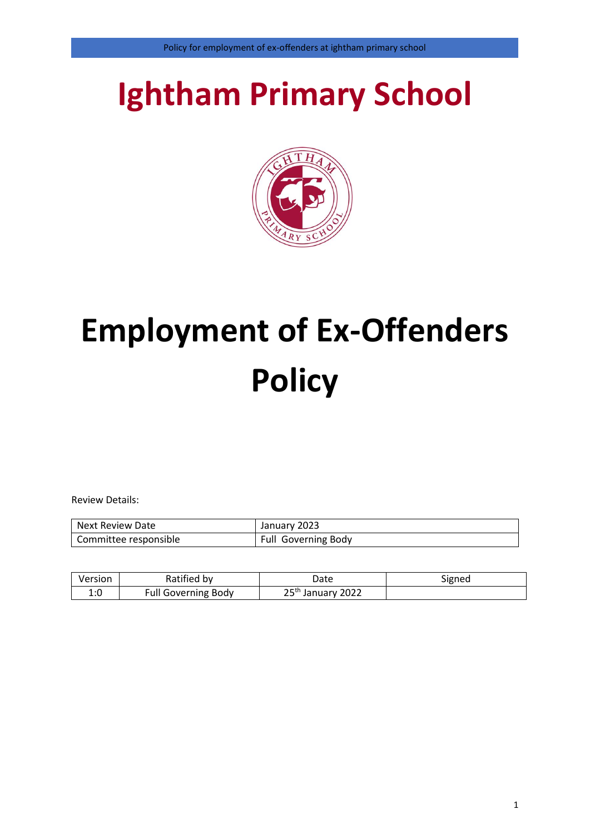# **Ightham Primary School**



# **Employment of Ex-Offenders Policy**

Review Details:

| Next Review Date      | January 2023        |
|-----------------------|---------------------|
| Committee responsible | Full Governing Body |

| Version                       | Ratified by                | Date                          | Signed |
|-------------------------------|----------------------------|-------------------------------|--------|
| $\cdot$ $\cdot$ $\sim$<br>T.N | <b>Full Governing Body</b> | 25 <sup>th</sup> January 2022 |        |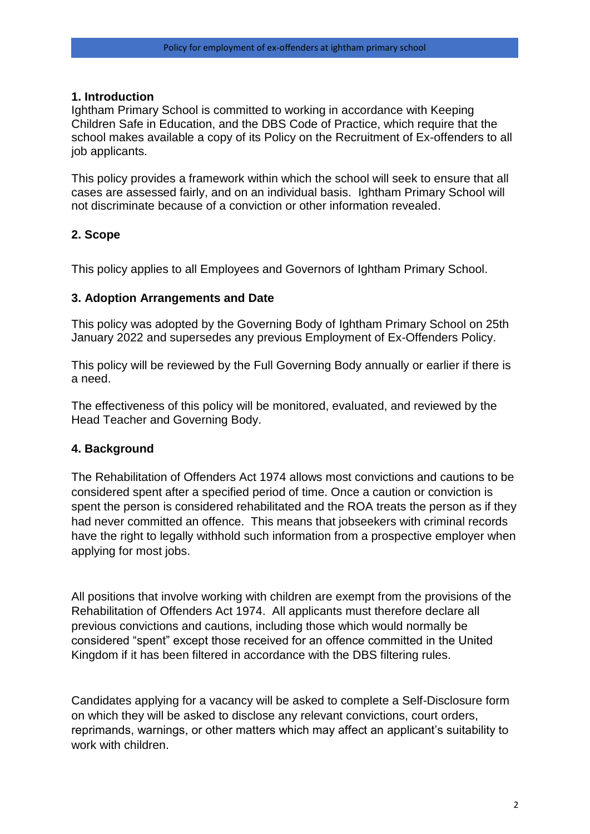#### **1. Introduction**

Ightham Primary School is committed to working in accordance with Keeping Children Safe in Education, and the DBS Code of Practice, which require that the school makes available a copy of its Policy on the Recruitment of Ex-offenders to all job applicants.

This policy provides a framework within which the school will seek to ensure that all cases are assessed fairly, and on an individual basis. Ightham Primary School will not discriminate because of a conviction or other information revealed.

#### **2. Scope**

This policy applies to all Employees and Governors of Ightham Primary School.

#### **3. Adoption Arrangements and Date**

This policy was adopted by the Governing Body of Ightham Primary School on 25th January 2022 and supersedes any previous Employment of Ex-Offenders Policy.

This policy will be reviewed by the Full Governing Body annually or earlier if there is a need.

The effectiveness of this policy will be monitored, evaluated, and reviewed by the Head Teacher and Governing Body.

#### **4. Background**

The [Rehabilitation of Offenders Act 1974](https://3bx16p38bchl32s0e12di03h-wpengine.netdna-ssl.com/wp-content/uploads/2014/07/Rehabilitation-of-Offenders-Act-1974-Guide-2019.pdf) allows most convictions and cautions to be considered spent after a specified period of time. Once a caution or conviction is spent the person is considered rehabilitated and the ROA treats the person as if they had never committed an offence. This means that jobseekers with criminal records have the right to legally withhold such information from a prospective employer when applying for most jobs.

All positions that involve working with children are exempt from the provisions of the Rehabilitation of Offenders Act 1974. All applicants must therefore declare all previous convictions and cautions, including those which would normally be considered "spent" except those received for an offence committed in the United Kingdom if it has been filtered in accordance with the DBS filtering rules.

Candidates applying for a vacancy will be asked to complete a Self-Disclosure form on which they will be asked to disclose any relevant convictions, court orders, reprimands, warnings, or other matters which may affect an applicant's suitability to work with children.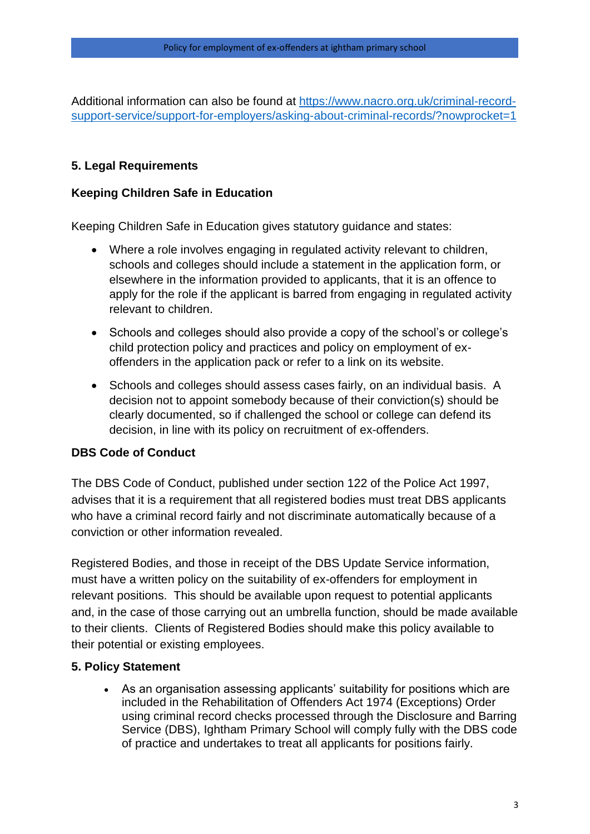Additional information can also be found at [https://www.nacro.org.uk/criminal-record](https://www.nacro.org.uk/criminal-record-support-service/support-for-employers/asking-about-criminal-records/?nowprocket=1)[support-service/support-for-employers/asking-about-criminal-records/?nowprocket=1](https://www.nacro.org.uk/criminal-record-support-service/support-for-employers/asking-about-criminal-records/?nowprocket=1)

# **5. Legal Requirements**

### **Keeping Children Safe in Education**

Keeping Children Safe in Education gives statutory guidance and states:

- Where a role involves engaging in regulated activity relevant to children, schools and colleges should include a statement in the application form, or elsewhere in the information provided to applicants, that it is an offence to apply for the role if the applicant is barred from engaging in regulated activity relevant to children.
- Schools and colleges should also provide a copy of the school's or college's child protection policy and practices and policy on employment of exoffenders in the application pack or refer to a link on its website.
- Schools and colleges should assess cases fairly, on an individual basis. A decision not to appoint somebody because of their conviction(s) should be clearly documented, so if challenged the school or college can defend its decision, in line with its policy on recruitment of ex-offenders.

# **DBS Code of Conduct**

The DBS Code of Conduct, published under section 122 of the Police Act 1997, advises that it is a requirement that all registered bodies must treat DBS applicants who have a criminal record fairly and not discriminate automatically because of a conviction or other information revealed.

Registered Bodies, and those in receipt of the DBS Update Service information, must have a written policy on the suitability of ex-offenders for employment in relevant positions. This should be available upon request to potential applicants and, in the case of those carrying out an umbrella function, should be made available to their clients. Clients of Registered Bodies should make this policy available to their potential or existing employees.

# **5. Policy Statement**

 As an organisation assessing applicants' suitability for positions which are included in the Rehabilitation of Offenders Act 1974 (Exceptions) Order using criminal record checks processed through the Disclosure and Barring Service (DBS), Ightham Primary School will comply fully with the DBS [code](https://www.gov.uk/government/publications/dbs-code-of-practice)  [of practice](https://www.gov.uk/government/publications/dbs-code-of-practice) and undertakes to treat all applicants for positions fairly.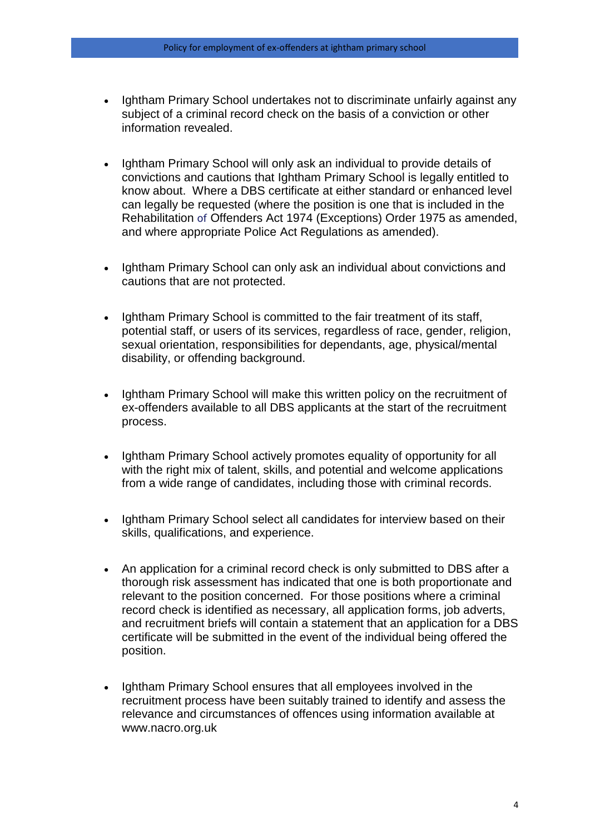- Ightham Primary School undertakes not to discriminate unfairly against any subject of a criminal record check on the basis of a conviction or other information revealed.
- Ightham Primary School will only ask an individual to provide details of convictions and cautions that Ightham Primary School is legally entitled to know about. Where a DBS certificate at either standard or enhanced level can legally be requested (where the position is one that is included in the Rehabilitation of Offenders Act 1974 (Exceptions) Order 1975 as amended, and where appropriate Police Act Regulations as amended).
- Ightham Primary School can only ask an individual about convictions and cautions that are not protected.
- Ightham Primary School is committed to the fair treatment of its staff, potential staff, or users of its services, regardless of race, gender, religion, sexual orientation, responsibilities for dependants, age, physical/mental disability, or offending background.
- Ightham Primary School will make this written policy on the recruitment of ex-offenders available to all DBS applicants at the start of the recruitment process.
- Ightham Primary School actively promotes equality of opportunity for all with the right mix of talent, skills, and potential and welcome applications from a wide range of candidates, including those with criminal records.
- Ightham Primary School select all candidates for interview based on their skills, qualifications, and experience.
- An application for a criminal record check is only submitted to DBS after a thorough risk assessment has indicated that one is both proportionate and relevant to the position concerned. For those positions where a criminal record check is identified as necessary, all application forms, job adverts, and recruitment briefs will contain a statement that an application for a DBS certificate will be submitted in the event of the individual being offered the position.
- Ightham Primary School ensures that all employees involved in the recruitment process have been suitably trained to identify and assess the relevance and circumstances of offences using information available at www.nacro.org.uk